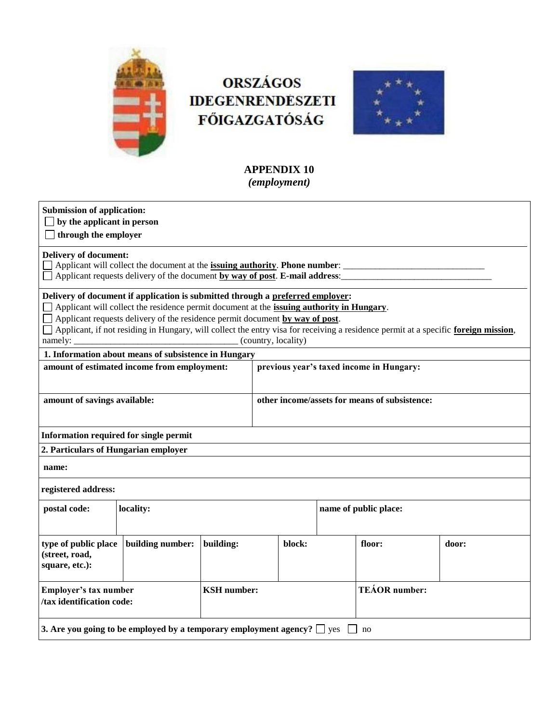

# **ORSZÁGOS IDEGENRENDESZETI FŐIGAZGATÓSÁG**



# **APPENDIX 10** *(employment)*

| <b>Submission of application:</b><br>by the applicant in person<br>through the employer                                                                                                                                                                                                                                                                                                                                         |           |                    |                                               |  |        |                       |  |  |
|---------------------------------------------------------------------------------------------------------------------------------------------------------------------------------------------------------------------------------------------------------------------------------------------------------------------------------------------------------------------------------------------------------------------------------|-----------|--------------------|-----------------------------------------------|--|--------|-----------------------|--|--|
| <b>Delivery of document:</b><br>Applicant will collect the document at the <b>issuing authority</b> . Phone number:<br>Applicant requests delivery of the document by way of post. E-mail address:                                                                                                                                                                                                                              |           |                    |                                               |  |        |                       |  |  |
| Delivery of document if application is submitted through a preferred employer:<br>Applicant will collect the residence permit document at the issuing authority in Hungary.<br>$\Box$ Applicant requests delivery of the residence permit document by way of post.<br>Applicant, if not residing in Hungary, will collect the entry visa for receiving a residence permit at a specific foreign mission,<br>(country, locality) |           |                    |                                               |  |        |                       |  |  |
| 1. Information about means of subsistence in Hungary                                                                                                                                                                                                                                                                                                                                                                            |           |                    |                                               |  |        |                       |  |  |
| amount of estimated income from employment:                                                                                                                                                                                                                                                                                                                                                                                     |           |                    | previous year's taxed income in Hungary:      |  |        |                       |  |  |
| amount of savings available:                                                                                                                                                                                                                                                                                                                                                                                                    |           |                    | other income/assets for means of subsistence: |  |        |                       |  |  |
| Information required for single permit                                                                                                                                                                                                                                                                                                                                                                                          |           |                    |                                               |  |        |                       |  |  |
| 2. Particulars of Hungarian employer                                                                                                                                                                                                                                                                                                                                                                                            |           |                    |                                               |  |        |                       |  |  |
| name:                                                                                                                                                                                                                                                                                                                                                                                                                           |           |                    |                                               |  |        |                       |  |  |
| registered address:                                                                                                                                                                                                                                                                                                                                                                                                             |           |                    |                                               |  |        |                       |  |  |
| postal code:                                                                                                                                                                                                                                                                                                                                                                                                                    | locality: |                    |                                               |  |        | name of public place: |  |  |
| building number:<br>type of public place<br>building:<br>(street, road,<br>square, etc.):                                                                                                                                                                                                                                                                                                                                       |           | block:             |                                               |  | floor: | door:                 |  |  |
| Employer's tax number<br>/tax identification code:                                                                                                                                                                                                                                                                                                                                                                              |           | <b>KSH</b> number: |                                               |  |        | <b>TEÁOR</b> number:  |  |  |
| 3. Are you going to be employed by a temporary employment agency? $\Box$ yes                                                                                                                                                                                                                                                                                                                                                    |           |                    |                                               |  |        | no                    |  |  |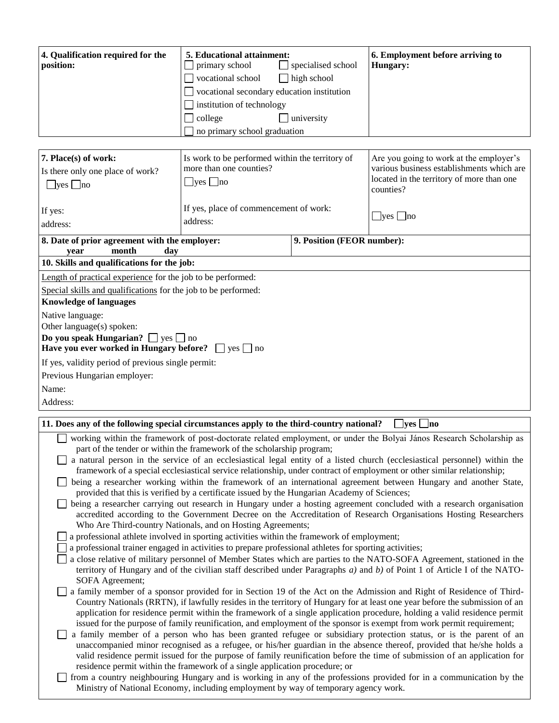| 4. Qualification required for the<br>position:                                                                                                                                                                                                                                                                                                                                                                                                                                                                                                                                                                                                                                                                                                                                                                                                                                                                                                                                                                                                                                                                                                                                                                                                                                                                                        | 5. Educational attainment:<br>primary school<br>vocational school<br>$\Box$<br>vocational secondary education institution<br>institution of technology<br>college<br>no primary school graduation | specialised school<br>high school<br>university | 6. Employment before arriving to<br>Hungary:                                                                                                   |  |  |  |
|---------------------------------------------------------------------------------------------------------------------------------------------------------------------------------------------------------------------------------------------------------------------------------------------------------------------------------------------------------------------------------------------------------------------------------------------------------------------------------------------------------------------------------------------------------------------------------------------------------------------------------------------------------------------------------------------------------------------------------------------------------------------------------------------------------------------------------------------------------------------------------------------------------------------------------------------------------------------------------------------------------------------------------------------------------------------------------------------------------------------------------------------------------------------------------------------------------------------------------------------------------------------------------------------------------------------------------------|---------------------------------------------------------------------------------------------------------------------------------------------------------------------------------------------------|-------------------------------------------------|------------------------------------------------------------------------------------------------------------------------------------------------|--|--|--|
|                                                                                                                                                                                                                                                                                                                                                                                                                                                                                                                                                                                                                                                                                                                                                                                                                                                                                                                                                                                                                                                                                                                                                                                                                                                                                                                                       |                                                                                                                                                                                                   |                                                 |                                                                                                                                                |  |  |  |
| 7. Place(s) of work:<br>Is work to be performed within the territory of<br>more than one counties?<br>Is there only one place of work?<br>$\Box$ yes $\Box$ no<br>$\Box$ yes $\Box$ no<br>If yes, place of commencement of work:                                                                                                                                                                                                                                                                                                                                                                                                                                                                                                                                                                                                                                                                                                                                                                                                                                                                                                                                                                                                                                                                                                      |                                                                                                                                                                                                   |                                                 | Are you going to work at the employer's<br>various business establishments which are<br>located in the territory of more than one<br>counties? |  |  |  |
| If yes:<br>address:                                                                                                                                                                                                                                                                                                                                                                                                                                                                                                                                                                                                                                                                                                                                                                                                                                                                                                                                                                                                                                                                                                                                                                                                                                                                                                                   | address:                                                                                                                                                                                          |                                                 | $\Box$ yes $\Box$ no                                                                                                                           |  |  |  |
|                                                                                                                                                                                                                                                                                                                                                                                                                                                                                                                                                                                                                                                                                                                                                                                                                                                                                                                                                                                                                                                                                                                                                                                                                                                                                                                                       |                                                                                                                                                                                                   |                                                 |                                                                                                                                                |  |  |  |
| 8. Date of prior agreement with the employer:<br>month<br>day<br>year                                                                                                                                                                                                                                                                                                                                                                                                                                                                                                                                                                                                                                                                                                                                                                                                                                                                                                                                                                                                                                                                                                                                                                                                                                                                 |                                                                                                                                                                                                   | 9. Position (FEOR number):                      |                                                                                                                                                |  |  |  |
| 10. Skills and qualifications for the job:                                                                                                                                                                                                                                                                                                                                                                                                                                                                                                                                                                                                                                                                                                                                                                                                                                                                                                                                                                                                                                                                                                                                                                                                                                                                                            |                                                                                                                                                                                                   |                                                 |                                                                                                                                                |  |  |  |
| Length of practical experience for the job to be performed:                                                                                                                                                                                                                                                                                                                                                                                                                                                                                                                                                                                                                                                                                                                                                                                                                                                                                                                                                                                                                                                                                                                                                                                                                                                                           |                                                                                                                                                                                                   |                                                 |                                                                                                                                                |  |  |  |
| Special skills and qualifications for the job to be performed:<br><b>Knowledge of languages</b>                                                                                                                                                                                                                                                                                                                                                                                                                                                                                                                                                                                                                                                                                                                                                                                                                                                                                                                                                                                                                                                                                                                                                                                                                                       |                                                                                                                                                                                                   |                                                 |                                                                                                                                                |  |  |  |
| Native language:                                                                                                                                                                                                                                                                                                                                                                                                                                                                                                                                                                                                                                                                                                                                                                                                                                                                                                                                                                                                                                                                                                                                                                                                                                                                                                                      |                                                                                                                                                                                                   |                                                 |                                                                                                                                                |  |  |  |
| Other language(s) spoken:                                                                                                                                                                                                                                                                                                                                                                                                                                                                                                                                                                                                                                                                                                                                                                                                                                                                                                                                                                                                                                                                                                                                                                                                                                                                                                             |                                                                                                                                                                                                   |                                                 |                                                                                                                                                |  |  |  |
| Do you speak Hungarian? $\Box$ yes $\Box$ no<br>Have you ever worked in Hungary before? $\Box$ yes $\Box$ no                                                                                                                                                                                                                                                                                                                                                                                                                                                                                                                                                                                                                                                                                                                                                                                                                                                                                                                                                                                                                                                                                                                                                                                                                          |                                                                                                                                                                                                   |                                                 |                                                                                                                                                |  |  |  |
| If yes, validity period of previous single permit:                                                                                                                                                                                                                                                                                                                                                                                                                                                                                                                                                                                                                                                                                                                                                                                                                                                                                                                                                                                                                                                                                                                                                                                                                                                                                    |                                                                                                                                                                                                   |                                                 |                                                                                                                                                |  |  |  |
| Previous Hungarian employer:                                                                                                                                                                                                                                                                                                                                                                                                                                                                                                                                                                                                                                                                                                                                                                                                                                                                                                                                                                                                                                                                                                                                                                                                                                                                                                          |                                                                                                                                                                                                   |                                                 |                                                                                                                                                |  |  |  |
| Name:                                                                                                                                                                                                                                                                                                                                                                                                                                                                                                                                                                                                                                                                                                                                                                                                                                                                                                                                                                                                                                                                                                                                                                                                                                                                                                                                 |                                                                                                                                                                                                   |                                                 |                                                                                                                                                |  |  |  |
| Address:                                                                                                                                                                                                                                                                                                                                                                                                                                                                                                                                                                                                                                                                                                                                                                                                                                                                                                                                                                                                                                                                                                                                                                                                                                                                                                                              |                                                                                                                                                                                                   |                                                 |                                                                                                                                                |  |  |  |
| 11. Does any of the following special circumstances apply to the third-country national?                                                                                                                                                                                                                                                                                                                                                                                                                                                                                                                                                                                                                                                                                                                                                                                                                                                                                                                                                                                                                                                                                                                                                                                                                                              |                                                                                                                                                                                                   |                                                 | <b>yes</b><br> no                                                                                                                              |  |  |  |
| working within the framework of post-doctorate related employment, or under the Bolyai János Research Scholarship as<br>part of the tender or within the framework of the scholarship program;<br>a natural person in the service of an ecclesiastical legal entity of a listed church (ecclesiastical personnel) within the<br>framework of a special ecclesiastical service relationship, under contract of employment or other similar relationship;<br>being a researcher working within the framework of an international agreement between Hungary and another State,<br>provided that this is verified by a certificate issued by the Hungarian Academy of Sciences;<br>being a researcher carrying out research in Hungary under a hosting agreement concluded with a research organisation<br>accredited according to the Government Decree on the Accreditation of Research Organisations Hosting Researchers<br>Who Are Third-country Nationals, and on Hosting Agreements;<br>a professional athlete involved in sporting activities within the framework of employment;<br>a professional trainer engaged in activities to prepare professional athletes for sporting activities;<br>a close relative of military personnel of Member States which are parties to the NATO-SOFA Agreement, stationed in the              |                                                                                                                                                                                                   |                                                 |                                                                                                                                                |  |  |  |
| territory of Hungary and of the civilian staff described under Paragraphs $a$ ) and $b$ ) of Point 1 of Article I of the NATO-<br>SOFA Agreement;<br>a family member of a sponsor provided for in Section 19 of the Act on the Admission and Right of Residence of Third-<br>Country Nationals (RRTN), if lawfully resides in the territory of Hungary for at least one year before the submission of an<br>application for residence permit within the framework of a single application procedure, holding a valid residence permit<br>issued for the purpose of family reunification, and employment of the sponsor is exempt from work permit requirement;<br>a family member of a person who has been granted refugee or subsidiary protection status, or is the parent of an<br>unaccompanied minor recognised as a refugee, or his/her guardian in the absence thereof, provided that he/she holds a<br>valid residence permit issued for the purpose of family reunification before the time of submission of an application for<br>residence permit within the framework of a single application procedure; or<br>from a country neighbouring Hungary and is working in any of the professions provided for in a communication by the<br>Ministry of National Economy, including employment by way of temporary agency work. |                                                                                                                                                                                                   |                                                 |                                                                                                                                                |  |  |  |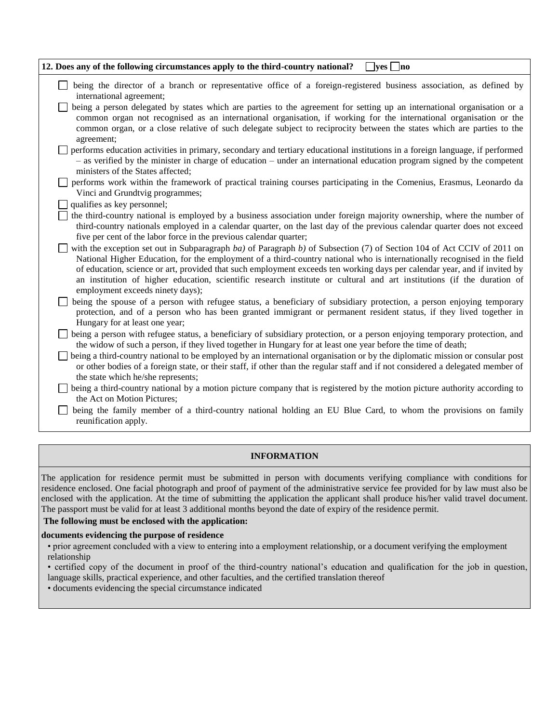| 12. Does any of the following circumstances apply to the third-country national?<br>$\Box$ yes $\Box$ no                                                                                                                                                                                                                                                                                                                                                                                                                                      |
|-----------------------------------------------------------------------------------------------------------------------------------------------------------------------------------------------------------------------------------------------------------------------------------------------------------------------------------------------------------------------------------------------------------------------------------------------------------------------------------------------------------------------------------------------|
| being the director of a branch or representative office of a foreign-registered business association, as defined by<br>international agreement;                                                                                                                                                                                                                                                                                                                                                                                               |
| being a person delegated by states which are parties to the agreement for setting up an international organisation or a<br>common organ not recognised as an international organisation, if working for the international organisation or the<br>common organ, or a close relative of such delegate subject to reciprocity between the states which are parties to the<br>agreement;                                                                                                                                                          |
| performs education activities in primary, secondary and tertiary educational institutions in a foreign language, if performed<br>- as verified by the minister in charge of education - under an international education program signed by the competent<br>ministers of the States affected;                                                                                                                                                                                                                                                 |
| performs work within the framework of practical training courses participating in the Comenius, Erasmus, Leonardo da<br>Vinci and Grundtvig programmes;                                                                                                                                                                                                                                                                                                                                                                                       |
| qualifies as key personnel;                                                                                                                                                                                                                                                                                                                                                                                                                                                                                                                   |
| the third-country national is employed by a business association under foreign majority ownership, where the number of<br>third-country nationals employed in a calendar quarter, on the last day of the previous calendar quarter does not exceed<br>five per cent of the labor force in the previous calendar quarter;                                                                                                                                                                                                                      |
| with the exception set out in Subparagraph ba) of Paragraph b) of Subsection (7) of Section 104 of Act CCIV of 2011 on<br>National Higher Education, for the employment of a third-country national who is internationally recognised in the field<br>of education, science or art, provided that such employment exceeds ten working days per calendar year, and if invited by<br>an institution of higher education, scientific research institute or cultural and art institutions (if the duration of<br>employment exceeds ninety days); |
| being the spouse of a person with refugee status, a beneficiary of subsidiary protection, a person enjoying temporary<br>protection, and of a person who has been granted immigrant or permanent resident status, if they lived together in<br>Hungary for at least one year;                                                                                                                                                                                                                                                                 |
| being a person with refugee status, a beneficiary of subsidiary protection, or a person enjoying temporary protection, and<br>the widow of such a person, if they lived together in Hungary for at least one year before the time of death;                                                                                                                                                                                                                                                                                                   |
| being a third-country national to be employed by an international organisation or by the diplomatic mission or consular post<br>or other bodies of a foreign state, or their staff, if other than the regular staff and if not considered a delegated member of<br>the state which he/she represents;                                                                                                                                                                                                                                         |
| being a third-country national by a motion picture company that is registered by the motion picture authority according to<br>the Act on Motion Pictures;                                                                                                                                                                                                                                                                                                                                                                                     |
| being the family member of a third-country national holding an EU Blue Card, to whom the provisions on family<br>reunification apply.                                                                                                                                                                                                                                                                                                                                                                                                         |

#### **INFORMATION**

The application for residence permit must be submitted in person with documents verifying compliance with conditions for residence enclosed. One facial photograph and proof of payment of the administrative service fee provided for by law must also be enclosed with the application. At the time of submitting the application the applicant shall produce his/her valid travel document. The passport must be valid for at least 3 additional months beyond the date of expiry of the residence permit.

# **The following must be enclosed with the application:**

#### **documents evidencing the purpose of residence**

• prior agreement concluded with a view to entering into a employment relationship, or a document verifying the employment relationship

• certified copy of the document in proof of the third-country national's education and qualification for the job in question, language skills, practical experience, and other faculties, and the certified translation thereof

• documents evidencing the special circumstance indicated